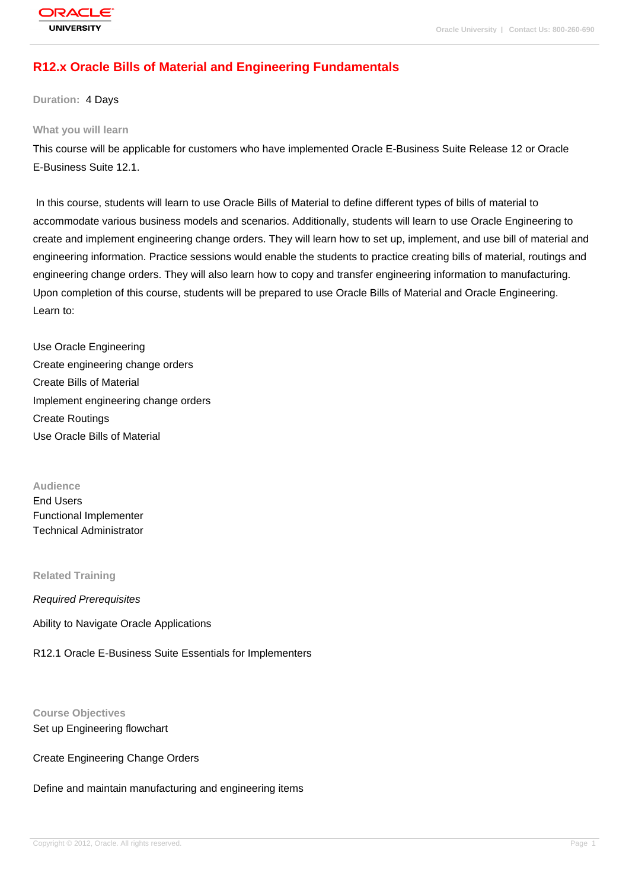# **[R12.x Oracle B](http://education.oracle.com/pls/web_prod-plq-dad/db_pages.getpage?page_id=3)ills of Material and Engineering Fundamentals**

**Duration:** 4 Days

#### **What you will learn**

This course will be applicable for customers who have implemented Oracle E-Business Suite Release 12 or Oracle E-Business Suite 12.1.

 In this course, students will learn to use Oracle Bills of Material to define different types of bills of material to accommodate various business models and scenarios. Additionally, students will learn to use Oracle Engineering to create and implement engineering change orders. They will learn how to set up, implement, and use bill of material and engineering information. Practice sessions would enable the students to practice creating bills of material, routings and engineering change orders. They will also learn how to copy and transfer engineering information to manufacturing. Upon completion of this course, students will be prepared to use Oracle Bills of Material and Oracle Engineering. Learn to:

Use Oracle Engineering Create engineering change orders Create Bills of Material Implement engineering change orders Create Routings Use Oracle Bills of Material

**Audience** End Users Functional Implementer Technical Administrator

**Related Training**

Required Prerequisites

Ability to Navigate Oracle Applications

R12.1 Oracle E-Business Suite Essentials for Implementers

#### **Course Objectives**

Set up Engineering flowchart

Create Engineering Change Orders

Define and maintain manufacturing and engineering items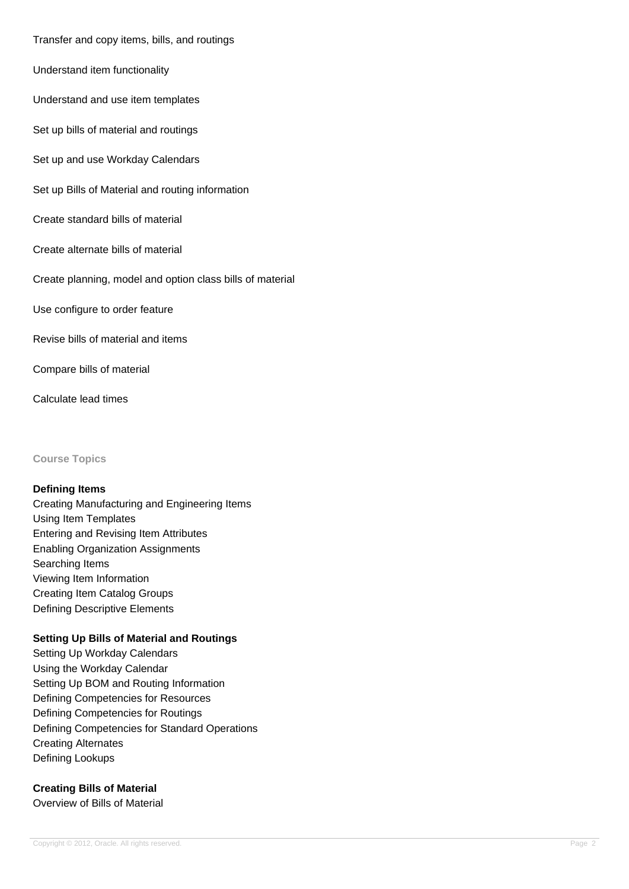Transfer and copy items, bills, and routings

Understand item functionality

Understand and use item templates

Set up bills of material and routings

Set up and use Workday Calendars

Set up Bills of Material and routing information

Create standard bills of material

Create alternate bills of material

Create planning, model and option class bills of material

Use configure to order feature

Revise bills of material and items

Compare bills of material

Calculate lead times

**Course Topics**

#### **Defining Items**

Creating Manufacturing and Engineering Items Using Item Templates Entering and Revising Item Attributes Enabling Organization Assignments Searching Items Viewing Item Information Creating Item Catalog Groups Defining Descriptive Elements

#### **Setting Up Bills of Material and Routings**

Setting Up Workday Calendars Using the Workday Calendar Setting Up BOM and Routing Information Defining Competencies for Resources Defining Competencies for Routings Defining Competencies for Standard Operations Creating Alternates Defining Lookups

# **Creating Bills of Material**

Overview of Bills of Material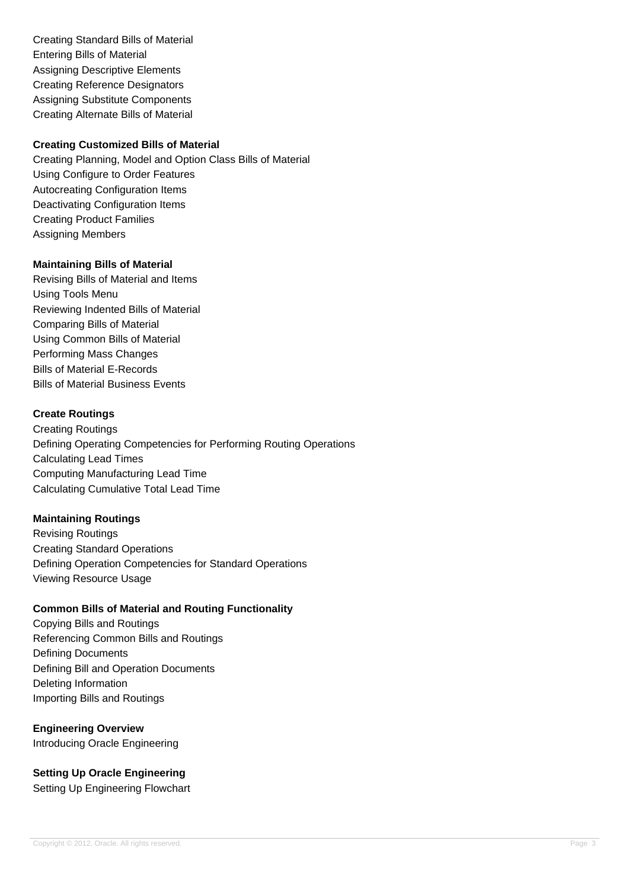Creating Standard Bills of Material Entering Bills of Material Assigning Descriptive Elements Creating Reference Designators Assigning Substitute Components Creating Alternate Bills of Material

## **Creating Customized Bills of Material**

Creating Planning, Model and Option Class Bills of Material Using Configure to Order Features Autocreating Configuration Items Deactivating Configuration Items Creating Product Families Assigning Members

### **Maintaining Bills of Material**

Revising Bills of Material and Items Using Tools Menu Reviewing Indented Bills of Material Comparing Bills of Material Using Common Bills of Material Performing Mass Changes Bills of Material E-Records Bills of Material Business Events

### **Create Routings**

Creating Routings Defining Operating Competencies for Performing Routing Operations Calculating Lead Times Computing Manufacturing Lead Time Calculating Cumulative Total Lead Time

#### **Maintaining Routings**

Revising Routings Creating Standard Operations Defining Operation Competencies for Standard Operations Viewing Resource Usage

## **Common Bills of Material and Routing Functionality**

Copying Bills and Routings Referencing Common Bills and Routings Defining Documents Defining Bill and Operation Documents Deleting Information Importing Bills and Routings

## **Engineering Overview** Introducing Oracle Engineering

**Setting Up Oracle Engineering** Setting Up Engineering Flowchart